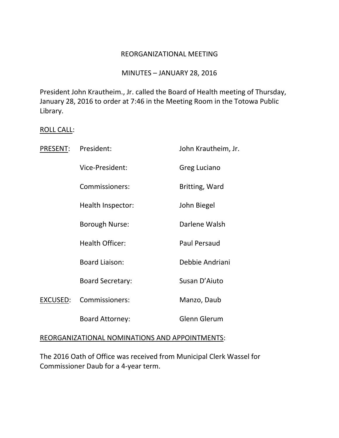#### REORGANIZATIONAL MEETING

# MINUTES – JANUARY 28, 2016

President John Krautheim., Jr. called the Board of Health meeting of Thursday, January 28, 2016 to order at 7:46 in the Meeting Room in the Totowa Public Library.

#### ROLL CALL:

| PRESENT: | President:              | John Krautheim, Jr. |
|----------|-------------------------|---------------------|
|          | Vice-President:         | Greg Luciano        |
|          | Commissioners:          | Britting, Ward      |
|          | Health Inspector:       | John Biegel         |
|          | Borough Nurse:          | Darlene Walsh       |
|          | <b>Health Officer:</b>  | <b>Paul Persaud</b> |
|          | <b>Board Liaison:</b>   | Debbie Andriani     |
|          | <b>Board Secretary:</b> | Susan D'Aiuto       |
| EXCUSED: | Commissioners:          | Manzo, Daub         |
|          | <b>Board Attorney:</b>  | <b>Glenn Glerum</b> |
|          |                         |                     |

#### REORGANIZATIONAL NOMINATIONS AND APPOINTMENTS:

The 2016 Oath of Office was received from Municipal Clerk Wassel for Commissioner Daub for a 4-year term.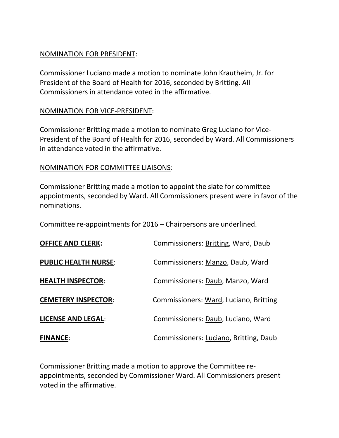## NOMINATION FOR PRESIDENT:

Commissioner Luciano made a motion to nominate John Krautheim, Jr. for President of the Board of Health for 2016, seconded by Britting. All Commissioners in attendance voted in the affirmative.

# NOMINATION FOR VICE-PRESIDENT:

Commissioner Britting made a motion to nominate Greg Luciano for Vice-President of the Board of Health for 2016, seconded by Ward. All Commissioners in attendance voted in the affirmative.

## NOMINATION FOR COMMITTEE LIAISONS:

Commissioner Britting made a motion to appoint the slate for committee appointments, seconded by Ward. All Commissioners present were in favor of the nominations.

Committee re-appointments for 2016 – Chairpersons are underlined.

| <b>OFFICE AND CLERK:</b>    | Commissioners: Britting, Ward, Daub    |
|-----------------------------|----------------------------------------|
| <b>PUBLIC HEALTH NURSE:</b> | Commissioners: Manzo, Daub, Ward       |
| <b>HEALTH INSPECTOR:</b>    | Commissioners: Daub, Manzo, Ward       |
| <b>CEMETERY INSPECTOR:</b>  | Commissioners: Ward, Luciano, Britting |
| <b>LICENSE AND LEGAL:</b>   | Commissioners: Daub, Luciano, Ward     |
| <b>FINANCE:</b>             | Commissioners: Luciano, Britting, Daub |

Commissioner Britting made a motion to approve the Committee reappointments, seconded by Commissioner Ward. All Commissioners present voted in the affirmative.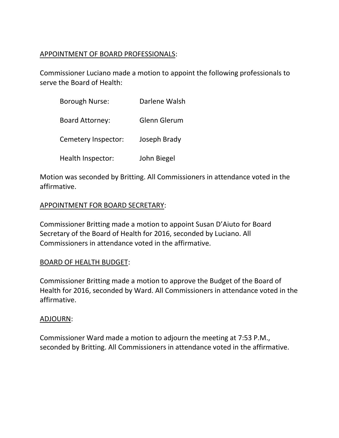# APPOINTMENT OF BOARD PROFESSIONALS:

Commissioner Luciano made a motion to appoint the following professionals to serve the Board of Health:

| <b>Borough Nurse:</b>  | Darlene Walsh |
|------------------------|---------------|
| <b>Board Attorney:</b> | Glenn Glerum  |
| Cemetery Inspector:    | Joseph Brady  |
| Health Inspector:      | John Biegel   |

Motion was seconded by Britting. All Commissioners in attendance voted in the affirmative.

# APPOINTMENT FOR BOARD SECRETARY:

Commissioner Britting made a motion to appoint Susan D'Aiuto for Board Secretary of the Board of Health for 2016, seconded by Luciano. All Commissioners in attendance voted in the affirmative.

# BOARD OF HEALTH BUDGET:

Commissioner Britting made a motion to approve the Budget of the Board of Health for 2016, seconded by Ward. All Commissioners in attendance voted in the affirmative.

#### ADJOURN:

Commissioner Ward made a motion to adjourn the meeting at 7:53 P.M., seconded by Britting. All Commissioners in attendance voted in the affirmative.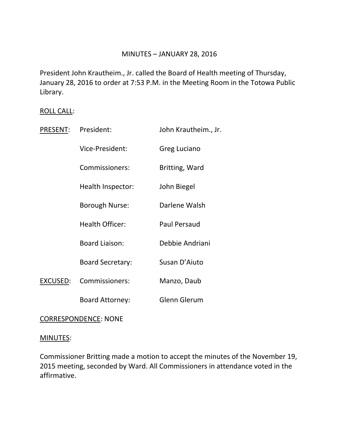## MINUTES – JANUARY 28, 2016

President John Krautheim., Jr. called the Board of Health meeting of Thursday, January 28, 2016 to order at 7:53 P.M. in the Meeting Room in the Totowa Public Library.

## ROLL CALL:

| PRESENT: | President:              | John Krautheim., Jr. |
|----------|-------------------------|----------------------|
|          | Vice-President:         | Greg Luciano         |
|          | Commissioners:          | Britting, Ward       |
|          | Health Inspector:       | John Biegel          |
|          | <b>Borough Nurse:</b>   | Darlene Walsh        |
|          | <b>Health Officer:</b>  | <b>Paul Persaud</b>  |
|          | <b>Board Liaison:</b>   | Debbie Andriani      |
|          | <b>Board Secretary:</b> | Susan D'Aiuto        |
| EXCUSED: | Commissioners:          | Manzo, Daub          |
|          | <b>Board Attorney:</b>  | <b>Glenn Glerum</b>  |

#### CORRESPONDENCE: NONE

#### MINUTES:

Commissioner Britting made a motion to accept the minutes of the November 19, 2015 meeting, seconded by Ward. All Commissioners in attendance voted in the affirmative.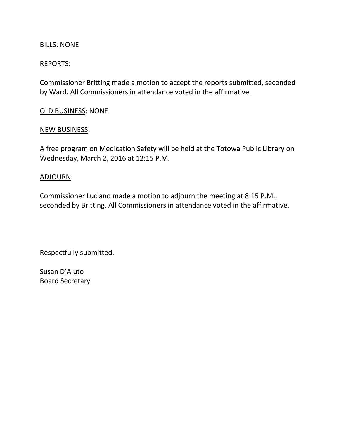## **BILLS: NONE**

## REPORTS:

Commissioner Britting made a motion to accept the reports submitted, seconded by Ward. All Commissioners in attendance voted in the affirmative.

#### OLD BUSINESS: NONE

#### NEW BUSINESS:

A free program on Medication Safety will be held at the Totowa Public Library on Wednesday, March 2, 2016 at 12:15 P.M.

## ADJOURN:

Commissioner Luciano made a motion to adjourn the meeting at 8:15 P.M., seconded by Britting. All Commissioners in attendance voted in the affirmative.

Respectfully submitted,

Susan D'Aiuto Board Secretary